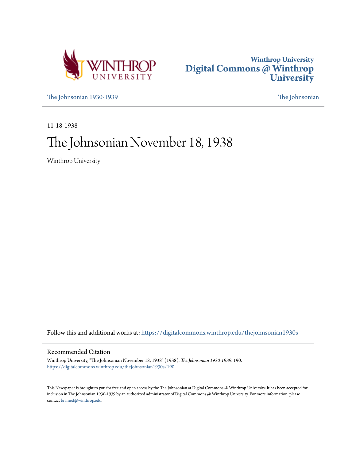



[The Johnsonian 1930-1939](https://digitalcommons.winthrop.edu/thejohnsonian1930s?utm_source=digitalcommons.winthrop.edu%2Fthejohnsonian1930s%2F190&utm_medium=PDF&utm_campaign=PDFCoverPages) [The Johnsonian](https://digitalcommons.winthrop.edu/thejohnsonian_newspaper?utm_source=digitalcommons.winthrop.edu%2Fthejohnsonian1930s%2F190&utm_medium=PDF&utm_campaign=PDFCoverPages)

11-18-1938

# The Johnsonian November 18, 1938

Winthrop University

Follow this and additional works at: [https://digitalcommons.winthrop.edu/thejohnsonian1930s](https://digitalcommons.winthrop.edu/thejohnsonian1930s?utm_source=digitalcommons.winthrop.edu%2Fthejohnsonian1930s%2F190&utm_medium=PDF&utm_campaign=PDFCoverPages)

## Recommended Citation

Winthrop University, "The Johnsonian November 18, 1938" (1938). *The Johnsonian 1930-1939*. 190. [https://digitalcommons.winthrop.edu/thejohnsonian1930s/190](https://digitalcommons.winthrop.edu/thejohnsonian1930s/190?utm_source=digitalcommons.winthrop.edu%2Fthejohnsonian1930s%2F190&utm_medium=PDF&utm_campaign=PDFCoverPages)

This Newspaper is brought to you for free and open access by the The Johnsonian at Digital Commons @ Winthrop University. It has been accepted for inclusion in The Johnsonian 1930-1939 by an authorized administrator of Digital Commons @ Winthrop University. For more information, please contact [bramed@winthrop.edu](mailto:bramed@winthrop.edu).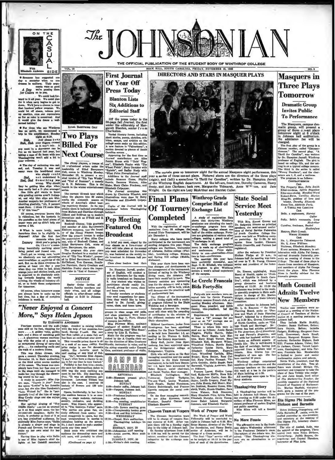

sone has suggested one semester when no one

way consider a structure when no one of the series and form of their arguments of the series of the series of the series of the series of the series of the series of the series of the series of the series of the series of

earned holiday! Winthrop with the angle<br>has no spirit, we recommend a trip to the amplitude:<br>The spirit of the second angle is spirit and plane in the spirit of<br>leading a light at 6:30. Angle is a proposed in the second in

your welcome.<br>
of The day of reckoning was and, and, Tuesday it was and<br>
and, and Tuesday it was and<br>
meany were the behinder one of the Simpley could<br>
Simpley to a understand it.<br>
Simpley be getting the simpley below the

uses, oues were a train of when it and and "End of Summer", a cosmoly they be getting bins allow they are in the sixteent of the sixteent of the properties of the properties of the properties of the properties of the prop

Of course, when tomorrow comes<br>you always have to make up for<br>lost time, hut a day of complete<br>indolence is worth it.

"Never Enjoyed a Concert More," Says Helen Jepson By ELIZABETH ANDERSON

**FROITE,** COUYS REGUELT JEPSOIN.<br>
Fourteem seconds and the andi- lodge. Another is raising rabisiate<br>
reno and the andi- lodge. Another is raising rabisiate<br>
more s. . A polden voice, golden band, George Francisco.hur<br>
mo

n."<br>ving time to play with Sallie<br>s of Mics Japson's chief de-<br>s at her Catakill mountain



 $J$ ke

ETHEL BARRYMORE COLT

**Two Plays Billed For Next Course** 

The Jitney players, a troups of<br>15 reviewindal actors under the leadership of Ethel Euryprover<br>Colt, comes to Wintbrey Monday, November 28, to present a manipulation<br>island version of "Rip Van Winda"<br>and "End of Comma", a

section develop to photon of South Appendix and South Captains section of South Appendix are allowed a relations and Petal Linear South Petal and South Water and South Water South Addition to the Journal candidate and Sou per.<br>Copies of the Journal will be<br>distributed bafore Thanksgiving<br>holidays.

**Pep Meeting** 

## **Featured On Broadcast**

frast in Johnson

participate should notify Dr.<br>Jarrell, giving her name, class

**Blanton Lists** 

**Six Additions to** 

Varied literary forms, including

**Editorial Staff** 

A brief psp meet, staged by the<br>four classes as a fore-rraner of<br>what will take place at the annual<br>pep meet scheduled for November<br>21, was featured on the weekly re-

pep mest Class choar leaders lead their Dr. Hampton Jarrell, professor of English, will conduct a<br>quiz on literature for the week-<br>ly radio broadcast on December<br>8. Any student who wishes to

Sector Order invites all<br>seniors, faculty members and<br>their wives, and all college<br>officials to after-dimer coffee sentors, racury measures a<br>their wives, and all collection<br>officials to after-dimer coff<br>Sunday at 2:30 in Johns

(Continued on page 4)

denred, gryng ner name, class<br>and home town.<br>Faculty members or students<br>may send suggestions for quest<br>tions they would like to bave<br>asked to Dr. Jarrell, giving<br>name, class, and home town.

The mass, cases, and mone to the state of the state of the state of the viewed by Ray A. Furt, director of campus journalism.<br>
Miss Previous Simultanus, and the property of the property of the property of the state of the e, and by or in w

# tant professor of violin **GAMPUS** GALENDAR

**SATURDAY equers** pres<br>huson hall.<br>SUNDAY Job

SUNDAY<br>
SEUNDA-Sender coffee, Johnson<br>
6:30—Verpers, Johnson hall<br>
10NDAY<br>
Ing dub.<br>
ming dub.<br>
ming dub.<br>
The pressing, smpbith<br>
10.00. Its CESDAY

TUESDAY<br>
12:30—Life Savera meeting, gyr<br>
4:30—Clampionakip hockey gan<br>
6:50—Book and Key initiation.<br>
WEDNESDAY<br>
12:30—Chapel, Main auditorium.<br>
Thankagiving holidays b

gin.<br>MONDAY, NOV. 29<br>-- Johnsonian staff meet<br>-- Artlat course, Maiz<br>torium.  $\frac{12:30}{8:00}$ 

TUESDAY, NOV. 30<br>-Writer's club meeting

 $4:30$ 



THE OFFICIAL PUBLICATION OF THE STUDENT BODY OF WINTHROP COLLEGE

. The curtain goes up to<br>morrow night for the annual Masquers night performance, this year a series of three one-act plays. Pictured above are the directors of the three plays (right), and (left) a seene from "A Thrill fo

**Winthrop Grads** 

**State Social** 

**Service Meet** 

Yesterday With Mrs. Ernest Groves and With Mrs. Ernest Groves and principal

**Comprise Half of** Of Tourney Exchange List **Completed** A study of registration lists<br>hows that thirty-two Winthrop

**Final Plans** 

With the registration of<br>nentatives from 32 colley<br>Annual Dixic Tournament,

Alabama).<br>This year there have been var-<br>lous changes and developments in<br>the management of the tournament<br>Instead of eating in the Winthrop<br>dining room, the debaters will<br>have their meals out in town. The

gin December 1.

Alabama)

A study of registration like<br>above that thirty-two Windhespreadcates are attending the teach<br>greated program here this<br>week. They-number almost one<br>half of the entire exchange. Forty With Mrs. Ernest Groves and<br>Dr. Sedgwick Simons as principal<br>apeakers, the semi-menual confer-<br>apeakers the semi-menual confer-<br>of South Carolina. College Stu-<br>dents was held on Winthrop campus<br>as yesterday. By 11:30, 24 d

event and the entire and the state of the state of the state of the state of the state of the content of the content of the data of the data of the data of the data of the data of the data of the data of the state of the m Many colleges who have never participated in the tournment are<br>lengthe obliger and colleges are Davidson, University<br>colleges are Davidson, University<br>of Alakama, Rollina college, Brenau,<br>and Spring Hill college (Mobile,

## Clemson Team at Vespers Week of Prayer Ends

Cernaon Legath at Vegnets of Trayer and World Company at the single started, and it and the single started at the single started at the single started at the single started at the single started at the single started at t

# **Masquers** in **Three Plays Tomorrow**

**Dramatic Group Invites Public To Performance** 

The Masquers, campus dramatic group, will present a group of three one-act plays tomorrow night at 8 o'clock in Johnson hall auditorium.<br>In Johnson hall auditorium.<br>No admission fee will be chosed.

No admitsion fee will be<br>charged.<br>The first play of the group is<br>a Chinese number, ealide "Chrysan-<br>themum." The second play, "A charged.<br>Thrill for Caroline", was written<br>professor of Engluh. The plat is<br>professor of Engl

Canwrantenter<br>
The Property Man, Reba Swith<br>
Kiker-mo-hana, Sylvia Begoslaw<br>
Kiker-mo-hana, Sylvia Begoslaw<br>
Kiker-mo-hana, Caroline Mericu<br>
Mang-So, godden of love and<br>
Mang-So, godden of love and<br>
Kwan-Van, definitie For

amore, Harrie ורדו<br>תש"ח

Culler<br>Sally, Belle's roommate, Luny<br>Careline, freshman, Rachel<br>Muckenfusa

**Matron, Blair Comak** 

Matron, Blair Camal, Macconson<br>
Wanne Niversette Talman, Nacconsons<br>
No. 1, *Margaretta Talmanski*<br>
No. 2, *Arma Williams*<br>
No. 2, *Arma Williams*<br>
Ectrons. Ectrons.<br>
Ectrons. The Macquera in columning of dramatic United<br> registered.<br>
After the welcome by President<br>
Shelton Phelps at 10 a.m., in<br>
Johnson hall the meeting was turn-<br>
ed over to T. B. Yourg, Clemaon<br>
isenior and president of the feder-<br>
stion.

Helen Dickson, Grangeburg, and<br>Julia Barnette, d. ambia, were in-<br>stalled yesterday as vice-president<br>and secretary at the meeting of<br>Eta Sigma Phi, honorary classics

The This past then have been until the number of the first of the first first of the first first of the first first of the first first first of the first first of the first first of the first first of the first first of t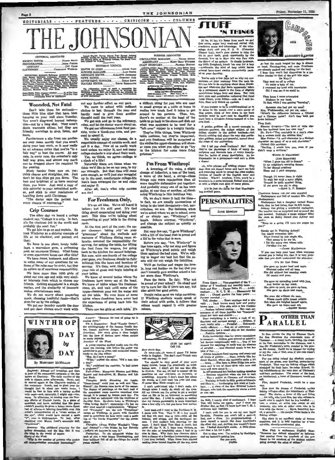480



Page 2

SOCIETY EDITOR ....N **ACTOGRAPHER...** JEDDIE PARKER<br>Dot Crass 

35: Elisaorth Rahemer, Margarett Bande, Elisaorth Rahemer, Propins, Gaerry Bande, California, Margarett Bande, Paris, Paris, Paris, Paris, Paris, Paris, Paris, Paris, Paris, Paris, Paris, Paris, Paris, Paris, Paris, Paris,

#### **Wounded, Not Fatal**

Don't take them too seriously<br>se little blue slips that have be wn those little blue slips that have been<br>hanging on your wall ainer Tuesday.<br>You aren't disgranced beyond redemp-<br>tion—not by a long shot. They aren't<br>death warrants either, but they are friendly warnings to stop, listen, and

Furthermore a slip from one profe For may mean merely that you aren't<br>doing your best work, or it may really<br>be an advance notice that you're "in a fair way" to bust the course. At any rais way to oust the course. At any<br>rate, in every case, the semester's only<br>half way gone, and almost any mark<br>can be dragged above the required 70

for passing.<br>Study harder from now on, yes; state that the same and straighter, yes. Just<br>don't let blue slips get you down. The<br>best and brightest of us have received them, you know. Just send a copy of this editorial to your astonished moththe countries to your assuming mon-<br>buckling down until Christmas.<br>"The doctor says the patient has<br>every chance of recovering."

#### **Crip Courses**

The other day we beard a college state has "College is a crip. In fact,<br>it's the cinchiest job in the world and<br>probably the most fun."

We got him to go on and explain. He<br>hok Winthrop as a shining example of took life at its cinchiest, and pointed out that

We have in one plant, lovely buildings, a marvelous gym, a swimming<br>pool, an encrmous library. What home or even apartment bouse can offer this?

We have deans, hostesses, and officers<br>to settle many of our questions for us.<br>Some of the rules may be strict, but they do relieve us of enormous responsibility We have more than 1600 girls of

about our own age and with very similar interests from which to choose our friends. Getting acquainted is a simple matter, and the similarity of interests nakes entertainment easy.<br>We do not worry about

out preparing neals, choosing healthful foods—that's<br>done for us by the college.<br>We put our laundry outside the door

and get clean clothes every week with

WINTHROP

By MARGARET MCMILLAN

the roommate. Lunch, and to gleat over the thought that in about two weeks because the wood be face to face with a turker staff with regressed, and naturally, I might add-wine, any efferts dependent of Sitelals Lewis appe

Forward . The childhood yvarying for<br>similar demands . and the idea that it the left<br>g had the voried of mests.<br> $\frac{\partial \text{map}}{\partial t}$  is the smaller of persons who pre-<br> $\frac{\partial \text{map}}{\partial t}$  is the smaller of persons who pr

nher of persons who prefer<br>pewodes: increasing?"

for

trek to cl

the root

see: Abroad and preakfast and then<br>of the roommate's escapade of the day<br>at Charlotte. The daily routine of the spress. Across and the commate's secapate of the day<br>rea at Charlotte. The daily routine of the day<br>rea at Charlotte. The daily routine of the<br>narvel again at the Charlotte exploits of<br>roomante. Lunch, and to gloat over th

DÀY

 $by$ 

DAY

Loroed Wester During School Tear Rxopt Hultday<br>Periods, During the Regular Suedon the Official Organ of<br>the Student Rolfy of Winharop College, The South Caro-<br>Hea College for Women. **EDITORIAL COUNCIL** 

EDITOR NORTH COINCIL CONNEL BORRE NATIONAL COINCIL CONTRACT CONTRACT AND INTERNATIONAL CONTRACT AND INTERNATIONAL CONTRACT CONTRACT CONTRACT CONTRACT CONTRACT CONTRACT CONTRACT CONTRACT CONTRACT CONTRACT CONTRACT CONTRACT

The Johannis waste to much a regulation for  $\sim 10^{11}$  and  $\sim 10^{11}$  and  $\sim 10^{11}$  and  $\sim 10^{11}$  and  $\sim 10^{11}$  and  $\sim 10^{11}$  and  $\sim 10^{11}$ 

out any further effort on our part. We come to school with sufficent<br>clothes to last through the year and<br>hardly need to give them another<br>thought until the next year.  $We$ 

We get sick and go to the infirmary,<br>relax, and let the doctor worry about us. We get our allowances from fond par-<br>ents, write a thank-you note, and pro-

ence, write a unauryou noon, mer pre-<br>ceed to apand it.<br>We usually enjoy our classes, do a<br>respectable amount of outdoe work, and<br>call it a day. Few of us really work<br>hard unless we enjoy it, and not many college students w rry about their work.<br>Yes, we 'think, we agree-college is a cloch of a life!

A charm of a mere are times when we<br>think we'd like to be on our own, to try<br>our strength. But that time will come soon enough, so we'll just stay anuggled<br>up in the cozy, comfortable college-life that's been arranged for us and relax and enjoy it

After all, that's what crip courses are for!

## For Freshmen Only,

It's an old idea. We've all heard it It's an old idea. We're all heard it<br>before; but it's still good. It's that<br>thing about cooperating and dolng your<br>part. This time we're talking about<br>cooperating at your table in the dining

At the first part of the year, the upper classmen. taking rity on your<br>regreemens" about the methods and manners of Winthrop dining room et-<br>rignarious dining room et-<br>serving, for setting the table, for lifting<br>serving, for setting the table, for lifting the food from the wagons, for going<br>back to the kitchen for second helpings. But now, with one-fourth of the college<br>year gone, you freshmen should be fully<br>initiated into the hows and howfors of serving. It's time, now, that you drop ble of guest and begin helping at your n your tables.

We know of several tables where the We know of several tables where the<br>freshmen have never sat at the head.<br>We know of tables where the freshmen<br>come, sit, and wait until some of the<br>upper-classmen pour out the water and<br>set the table. We even know of some<br> kitchen.

There are ten girls at each table. It's

are<br>coster we now from the cost of the city and  $\Lambda$  young reporter dashed madly into the city<br>cheduled to go to press, and exclained breath-<br>enduled to go to press, and exclained breath-<br> $\sim$  "Heat," replied the editor;

dog?"<br>'No." explained the reporter, "a buil threw

a Gage regulation the reporter, "a buil threw Telescotter, "a buil threw regional Liberation". Hargerett Blanton and Holen-Blanton Breath and Holen-Blanton Theorett Telescotte Blanton Telescotte Blanton Telescotte Blanck

merecanon Walter Winchell's "Jergener"<br>
Thoughts. (From Walter Winchell's "Jergener" Journal")---"He thinks he has Dorothy<br>
"arker" with because he uses it."<br>
Arker's Winchell of all the things for which<br>
meach of you a wa

CRCULATION: Mary Ellen Adams, Alice Balier, Mary Ellen Adams, Alice Balier, Mary Balier, Mary Balier, Mary Balier, Mary Balier, Mary Balier, Mary Balier, Mary Balier, Mary Balier, Mary Balier, Mary Balier, Mary Balier, Mar

Williams, paras waite, Hayes Calhoen, Rose Craig, ADVERTISING: Mary Hayes Calhoen, Rose Craig, Anna Millimon, MATTE PER MATRIMAL APPROVACE INC.

a difficult thing for you who are used to small groups at a table at home to realize how much food it takes to get around to ten persons. Then, too, there's no mother at the head of the table to go back to the stove and dish out<br>what was supposed to be used for a<br>"left over" supper to a hungry family.

They're little things, these Winthrop and you ten use tungs, tasse winterpressed the carbon and you freehmen will be surprised at the smalles the opper-classmen will show the most of the most of the most of the control of the little most of the little most of potatoes."

### I'm From Winthrop!

A lowering of the values a slight<br>change of infection, a toss of the head,<br>a wave of the hand, a sinrug--these<br>things ruin more reputations than all<br>more tangible defamation put together. And prohably every one of us has been<br>guilty, at one time or another, of slandering Winthrop in this insidious way.

Oh, we don't mean it half the time in fact, we are usually unconscious of<br>being in the least derogatory-but, neventheless, we are. For instance, when<br>we're asked where we go to school, some<br>of us simply say, "Winthrop", and<br>laugh. Others murmur, "Winthrop", and cha inge the subject as quickly as sible. pos

Pussion.<br>But very few say, "I go to Winthrop",<br>with a lift of the head that is proud and<br>a lift of the voice that is sure.

Before you say, "Aw, Winthrop" in secre you asy, "we, wincrop" in the top spain, why not stop and figure<br>up Winthrop's good points and weighthen agains the basis of the will-<br>then agains the basis of the winthing to wager our best hat that the assets<br>will

We'll go further and wager the love-<br>ly, long red feather on the hat that you can't honestly give another school a bet-<br>ter score than Winthrop's.

Face the facts. Be fair. Why not be proud of your school? Go ahead and<br>try to cure her ills if there are any, but also admit her good points.

People value us as we valu If Winthrop students would speak of<br>their school with pride, it follows that<br>others would regard it with greater

"Because the cost of going up is  $\begin{array}{l} \mbox{cosharsr}: \begin{array}{l} \mbox{cosharsr}: \begin{array}{l} \mbox{cosharsr}: \begin{array}{l} \mbox{cosharsr}: \begin{array}{l} \mbox{cosharsr}: \begin{array}{l} \mbox{p.} \mbox{cosharsr}: \begin{array}{l} \mbox{p.} \mbox{cosharsr}: \begin{array}{l} \mbox{p.} \mbox{cosharsr}: \begin{array}{l} \mbox{p.} \mbox{cosharsr}: \begin{array}{l} \mbox{p.} \mbox{cosharsr}: \begin{array}{l} \mbox{dosharsr}: \begin{array}{l} \m$ 

42:00 (at night)<br>Cell 118,

**THE SA** 

 $\begin{tabular}{l|c|c|c} \multicolumn{1}{l}{\textbf{Also}} & $\mathbf{12:00} & $\mathbf{(a)}$ & $\mathbf{14:00} \\ \multicolumn{1}{l}{\textbf{Also}} & $\mathbf{12:00} & $\mathbf{(a)}$ & $\mathbf{14:00} \\ \multicolumn{1}{l}{\textbf{of}} & $\mathbf{0} \text{ or $\mathbf{a}$} & $\mathbf{0}$ & $\mathbf{0}$ & $\mathbf{0}$ & $\mathbf{0}$ & $\mathbf{0}$ & $\mathbf{0}$ & $\mathbf{0}$ & $\mathbf{0}$ & $\mathbf{0}$ & $\mathbf{0}$ & $\mathbf{0}$ & $\mathbf$ 

is<br>the useford  $J$  went to the Davidson-V, M. I, means with<br> $\Gamma$  Pan . That V. M. Leoy for<br>outhout the second that one) was accuded with the buttons, and stronge, and the<br> $\Delta$  and the darking and term. I for<br>a central  $I$ 

Hi iso, hi hoj it's home from work we gel<br>
One extra, super large temperature and were deviated with the measure<br>
of the triangular conduction of the strength of the strength of<br>
Channer (ad), mork your channes to take th

ed on your doorstep.<br>
You've only a few days left so why not concerned to a your anatomy from the neek up.<br>
centrato on your anatomy from the neek up.<br>
It's too late to do anything about these Hernburg and what-non that h

Fore, Maw only filebred an eyesiash.<br>If you happen to be so unphilosophical as to<br>be down in the mouth over a mure scrap of<br>bine paper, think of how down in the bask<br>turkeys must be now—and be thankful you<br>were born a fri tive fowl.

are zown. <br>  $A$  goldes and a recent example in  $A$  golden produces the dullest subject of the<br>
dullent chapter in the dullest subject of the<br>
dulent chapter in the dullest textbook—but<br>
there dust the duller substitution

the stage of our auditorium.<br>
Phil I tell you aloue! feathers? Mo? Well,<br>
they're the plunnesses of hirds of every description and decorate herical<br>
scription and decorate hats of every description.<br>
As impensable as a per

o domen la comparation and triding cliques. Why the distribution and leave ma hold it<br>scale thou not depart hence and leave ma hold iteration of tweeds of the English moor and have been<br>dependent of tweeds of the English

It'd be just the thing for that Thankagiven for the Thankagiven for the Thankagiven **PERSONALITIES** 

**JANE MORGAN** 



Prom Union ... Vice-president of the Y ...<br>
Editor of Y ... However is a monthly never a finite point of the Y ...<br>
Rook and Key . . . Kappa Delta Pl ... Archinedian . . . N. C, T. M. ... The<br>
results . . . . There is the

the field, I wanty died of axcitement. I hepe<br>Tom will invite me again, And I must see<br>Brother Rat, so that i'll know how tee V. M. L<br>uniforms look together.

uniformal lock together.<br>
In gard, which for you to see my new liquid lip-stick. Prostine you won't toll a soul-<br>  $\frac{1}{2}$ ing (cost a disso. It's perposus-locking. If they can be dissoned to<br>
discover says and samples ar

Cot to slees now. I'm writing by fissibight,<br>ad my hattery's getting low.<br>See you seen,<br>See you seen,



At last the much longed for day is alm<br>at hand, Thankagiving, and some Freehaven are already packed and waliting for the bus<br> $^{-1}$  hope they won't find the<br>mealive in a sition similar to the Watal of the girl who asys: Th

Then home I came a-trooping<br>Diploma in my hand,<br>To find, while I was getting "learning",

Someone clue has generately rearning, a<br>Mrs. Winkleenoffer, my pet rut, asku:<br>"What's the difference between a Clindel<br>trass buttons cade? Ain't they beth got<br>trass buttons?"

They Said:

They Said:<br>
Blanche Gregory--"The kind of wife who<br>
Blanche Gregory--"The kind of wife who<br>hels her husband have her own way."<br>
Dr. Port--"Tea, coutably is a man'a cheap-<br>
Miss Petter---"At unit cheracter is a distinct ch

WATCH IT NEIGHBORS! (AND ROOMATES)<br>"When I grow too ald to dress<br>Is my neighbor's morning the<br>To her dismal prophecy<br>Sleep and I part company.

Though I'd never deem it right<br>To wish her such a sorry plight,<br>Twould be quite another thing,<br>If she grew too old to sing.<br>If she grew ---RUTH L. P. BARESTY

Classroom borners (on our own campus)<br>
Shakespeare van full of country life. (Poor<br>
Shakespeare) and full of country life. (Poor<br>
Shakespeare) had a daughter named Susan<br>
born, then be lot twins, then he left home.<br>
The te

"Keep on a going, I'll turn the pages for you!'

Surely not in Training School! Sarely not in Transmits.<br>You might remember this:<br>"That seems to be any lot,<br>"That seems to be any lot,<br>I list the namy men whose wife<br>I'm glad I'm not.<br>"ANET MACDONALD.<br>"ANET MACDONALD.

IT's No Use Gima

She gave up tender beef and veals,<br>Shunned coffee and all teas. She did without her non<br>Of omelet and peas. ndny meals

She gave up spreading bread with jam,<br>And butter on her toast.<br>She gave up pork, she gave up shem,<br>Bhe gave up chops and roust.

She even did without the men,<br>Whese candy gifts meant weight.<br>But when she weighed herself again,<br> $5$ he gave up hop--and aba.<br>--Rossnr MARKO



In Sun Acreas the Sty by Eleanor Clark, the Sun illumines the momentude trees of This This and in the Sun and the This momentum is the style was all the functionally in the distance, and it is related by the style was the

in has line?<br>
In the grown, over bearing, power-loving in a handuit content-<br>
ment of the grown, over bearing, power-loving<br>
Predictied. That was the faithing village which, the solar lines<br>
stredded its draw buts, its no

Fire, decided Frederick, would be a sure

Fire decision of Freehold Translation of Frederick version<br>and the drama of Frederick version fishing villages-affect the inhibitiants of Thai-<br>samply villages-affect the inhibitiants of This and the street of the<br>sample

shing village.<br>The story is an excellent study of haman<br>motions, and it is held together by a con-<br>tivable, cleverly-constructed plot.

Miss Fink to suphomore English class<br>"Someone has defined education" as informed tion passing from the notabook of the professor to the notabook of the during sping through the mind of either."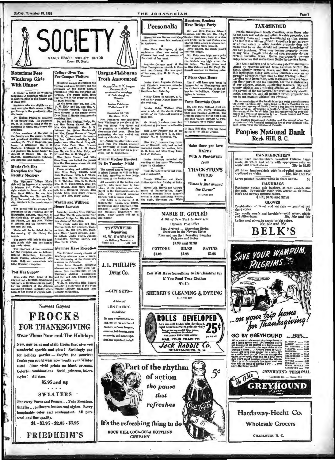